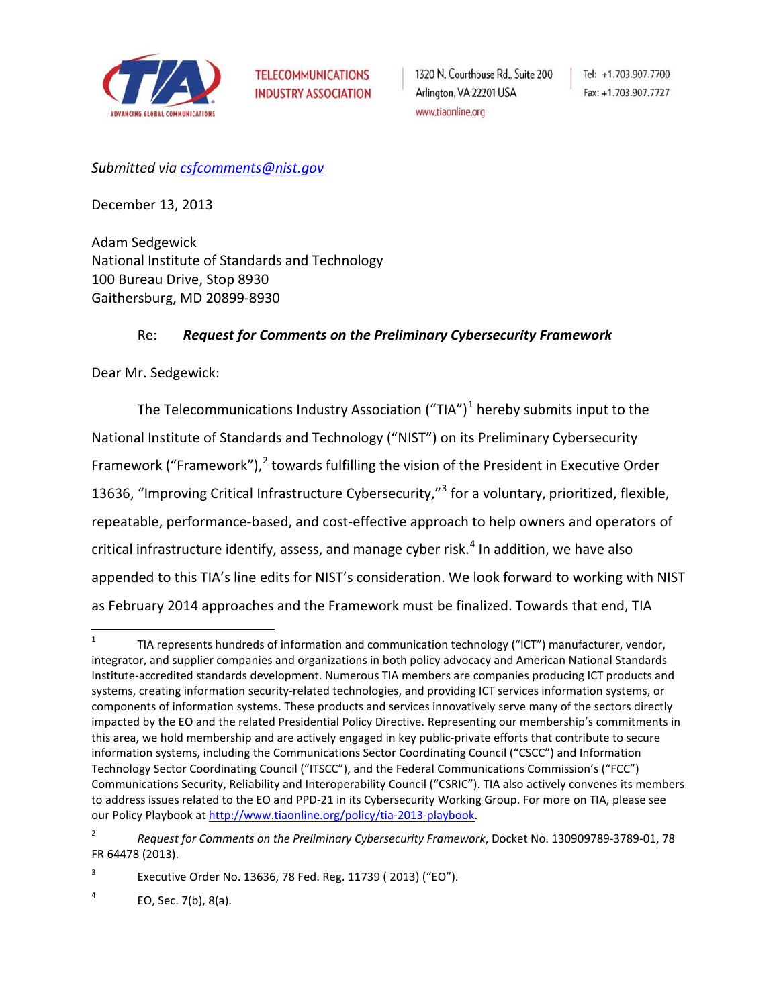

*Submitted via [csfcomments@nist.gov](mailto:csfcomments@nist.gov)*

December 13, 2013

Adam Sedgewick National Institute of Standards and Technology 100 Bureau Drive, Stop 8930 Gaithersburg, MD 20899-8930

### Re: *Request for Comments on the Preliminary Cybersecurity Framework*

Dear Mr. Sedgewick:

The Telecommunications Industry Association ("TIA")<sup>[1](#page-0-0)</sup> hereby submits input to the National Institute of Standards and Technology ("NIST") on its Preliminary Cybersecurity Framework ("Framework"),<sup>[2](#page-0-1)</sup> towards fulfilling the vision of the President in Executive Order 1[3](#page-0-2)636, "Improving Critical Infrastructure Cybersecurity,"<sup>3</sup> for a voluntary, prioritized, flexible, repeatable, performance-based, and cost-effective approach to help owners and operators of critical infrastructure identify, assess, and manage cyber risk. $4$  In addition, we have also appended to this TIA's line edits for NIST's consideration. We look forward to working with NIST as February 2014 approaches and the Framework must be finalized. Towards that end, TIA

<span id="page-0-0"></span><sup>&</sup>lt;sup>1</sup> TIA represents hundreds of information and communication technology ("ICT") manufacturer, vendor, integrator, and supplier companies and organizations in both policy advocacy and American National Standards Institute-accredited standards development. Numerous TIA members are companies producing ICT products and systems, creating information security-related technologies, and providing ICT services information systems, or components of information systems. These products and services innovatively serve many of the sectors directly impacted by the EO and the related Presidential Policy Directive. Representing our membership's commitments in this area, we hold membership and are actively engaged in key public-private efforts that contribute to secure information systems, including the Communications Sector Coordinating Council ("CSCC") and Information Technology Sector Coordinating Council ("ITSCC"), and the Federal Communications Commission's ("FCC") Communications Security, Reliability and Interoperability Council ("CSRIC"). TIA also actively convenes its members to address issues related to the EO and PPD-21 in its Cybersecurity Working Group. For more on TIA, please see our Policy Playbook at [http://www.tiaonline.org/policy/tia-2013-playbook.](http://www.tiaonline.org/policy/tia-2013-playbook)

<span id="page-0-1"></span><sup>2</sup> *Request for Comments on the Preliminary Cybersecurity Framework*, Docket No. 130909789-3789-01, 78 FR 64478 (2013).

<span id="page-0-2"></span><sup>&</sup>lt;sup>3</sup> Executive Order No. 13636, 78 Fed. Reg. 11739 (2013) ("EO").

<span id="page-0-3"></span> $4$  EO, Sec. 7(b), 8(a).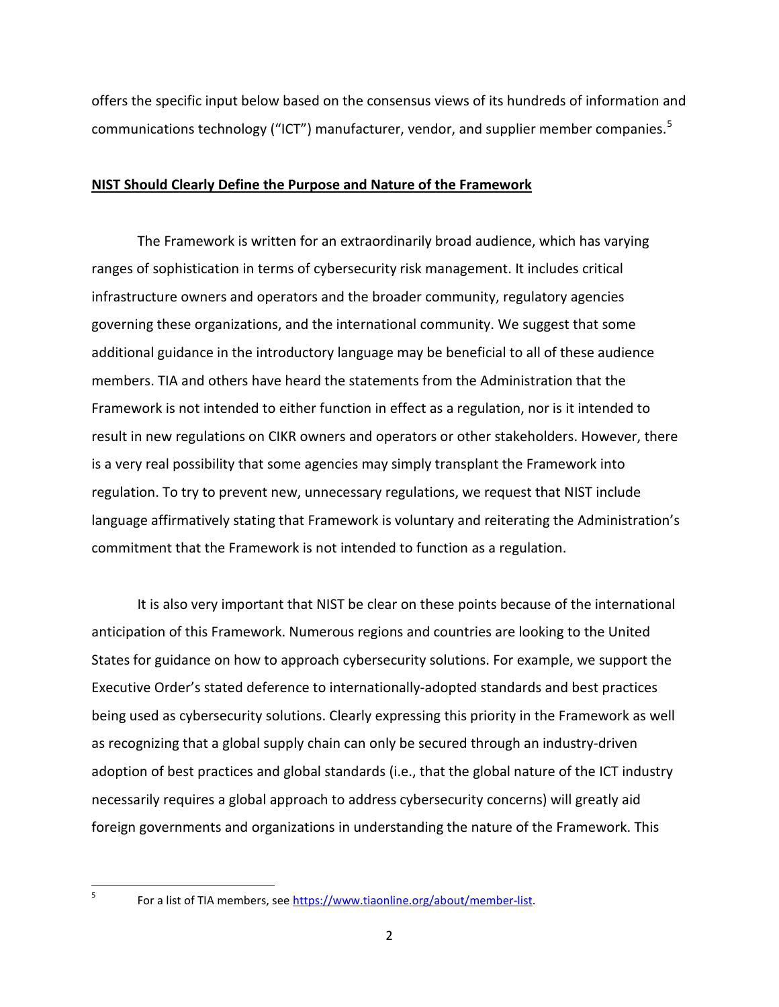offers the specific input below based on the consensus views of its hundreds of information and communications technology ("ICT") manufacturer, vendor, and supplier member companies.<sup>[5](#page-1-0)</sup>

#### **NIST Should Clearly Define the Purpose and Nature of the Framework**

The Framework is written for an extraordinarily broad audience, which has varying ranges of sophistication in terms of cybersecurity risk management. It includes critical infrastructure owners and operators and the broader community, regulatory agencies governing these organizations, and the international community. We suggest that some additional guidance in the introductory language may be beneficial to all of these audience members. TIA and others have heard the statements from the Administration that the Framework is not intended to either function in effect as a regulation, nor is it intended to result in new regulations on CIKR owners and operators or other stakeholders. However, there is a very real possibility that some agencies may simply transplant the Framework into regulation. To try to prevent new, unnecessary regulations, we request that NIST include language affirmatively stating that Framework is voluntary and reiterating the Administration's commitment that the Framework is not intended to function as a regulation.

It is also very important that NIST be clear on these points because of the international anticipation of this Framework. Numerous regions and countries are looking to the United States for guidance on how to approach cybersecurity solutions. For example, we support the Executive Order's stated deference to internationally-adopted standards and best practices being used as cybersecurity solutions. Clearly expressing this priority in the Framework as well as recognizing that a global supply chain can only be secured through an industry-driven adoption of best practices and global standards (i.e., that the global nature of the ICT industry necessarily requires a global approach to address cybersecurity concerns) will greatly aid foreign governments and organizations in understanding the nature of the Framework. This

<span id="page-1-0"></span>

<sup>&</sup>lt;sup>5</sup> For a list of TIA members, see [https://www.tiaonline.org/about/member-list.](https://www.tiaonline.org/about/member-list)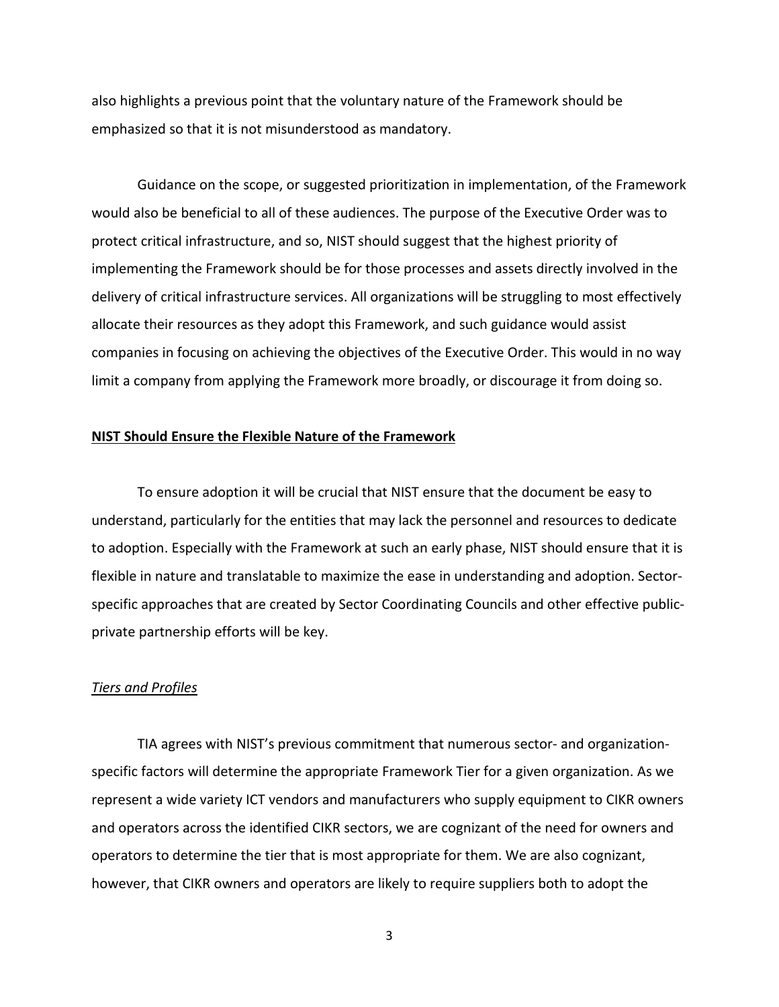also highlights a previous point that the voluntary nature of the Framework should be emphasized so that it is not misunderstood as mandatory.

Guidance on the scope, or suggested prioritization in implementation, of the Framework would also be beneficial to all of these audiences. The purpose of the Executive Order was to protect critical infrastructure, and so, NIST should suggest that the highest priority of implementing the Framework should be for those processes and assets directly involved in the delivery of critical infrastructure services. All organizations will be struggling to most effectively allocate their resources as they adopt this Framework, and such guidance would assist companies in focusing on achieving the objectives of the Executive Order. This would in no way limit a company from applying the Framework more broadly, or discourage it from doing so.

#### **NIST Should Ensure the Flexible Nature of the Framework**

To ensure adoption it will be crucial that NIST ensure that the document be easy to understand, particularly for the entities that may lack the personnel and resources to dedicate to adoption. Especially with the Framework at such an early phase, NIST should ensure that it is flexible in nature and translatable to maximize the ease in understanding and adoption. Sectorspecific approaches that are created by Sector Coordinating Councils and other effective publicprivate partnership efforts will be key.

#### *Tiers and Profiles*

TIA agrees with NIST's previous commitment that numerous sector- and organizationspecific factors will determine the appropriate Framework Tier for a given organization. As we represent a wide variety ICT vendors and manufacturers who supply equipment to CIKR owners and operators across the identified CIKR sectors, we are cognizant of the need for owners and operators to determine the tier that is most appropriate for them. We are also cognizant, however, that CIKR owners and operators are likely to require suppliers both to adopt the

3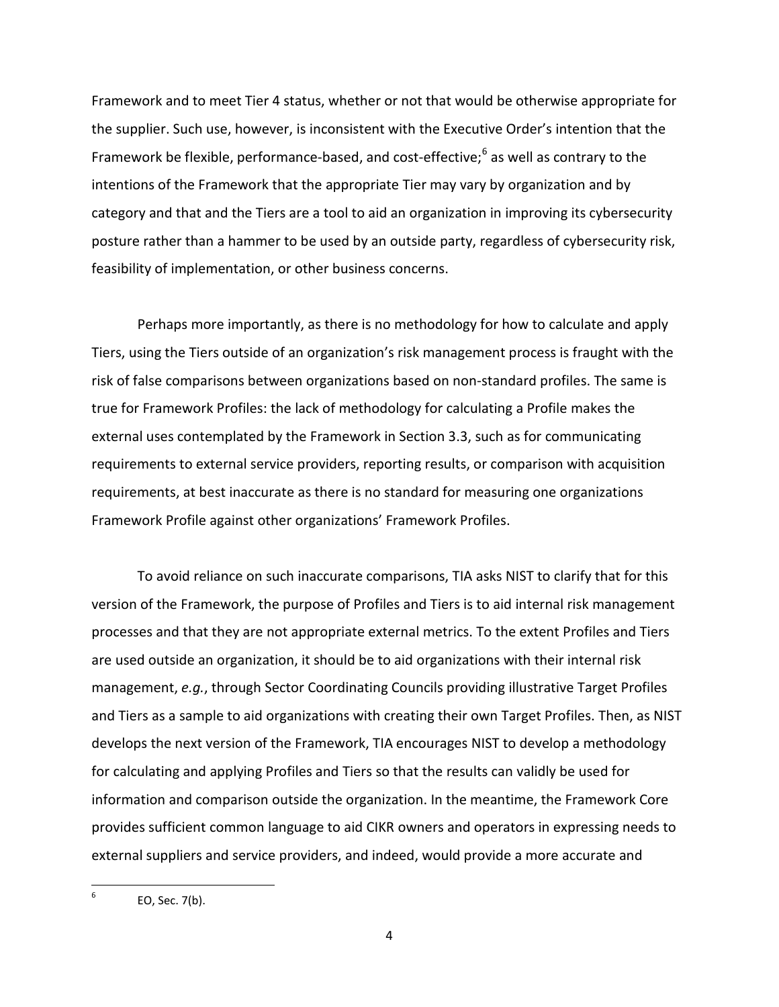Framework and to meet Tier 4 status, whether or not that would be otherwise appropriate for the supplier. Such use, however, is inconsistent with the Executive Order's intention that the Framework be flexible, performance-based, and cost-effective;<sup>[6](#page-3-0)</sup> as well as contrary to the intentions of the Framework that the appropriate Tier may vary by organization and by category and that and the Tiers are a tool to aid an organization in improving its cybersecurity posture rather than a hammer to be used by an outside party, regardless of cybersecurity risk, feasibility of implementation, or other business concerns.

Perhaps more importantly, as there is no methodology for how to calculate and apply Tiers, using the Tiers outside of an organization's risk management process is fraught with the risk of false comparisons between organizations based on non-standard profiles. The same is true for Framework Profiles: the lack of methodology for calculating a Profile makes the external uses contemplated by the Framework in Section 3.3, such as for communicating requirements to external service providers, reporting results, or comparison with acquisition requirements, at best inaccurate as there is no standard for measuring one organizations Framework Profile against other organizations' Framework Profiles.

To avoid reliance on such inaccurate comparisons, TIA asks NIST to clarify that for this version of the Framework, the purpose of Profiles and Tiers is to aid internal risk management processes and that they are not appropriate external metrics. To the extent Profiles and Tiers are used outside an organization, it should be to aid organizations with their internal risk management, *e.g.*, through Sector Coordinating Councils providing illustrative Target Profiles and Tiers as a sample to aid organizations with creating their own Target Profiles. Then, as NIST develops the next version of the Framework, TIA encourages NIST to develop a methodology for calculating and applying Profiles and Tiers so that the results can validly be used for information and comparison outside the organization. In the meantime, the Framework Core provides sufficient common language to aid CIKR owners and operators in expressing needs to external suppliers and service providers, and indeed, would provide a more accurate and

<span id="page-3-0"></span> $6$  EO, Sec. 7(b).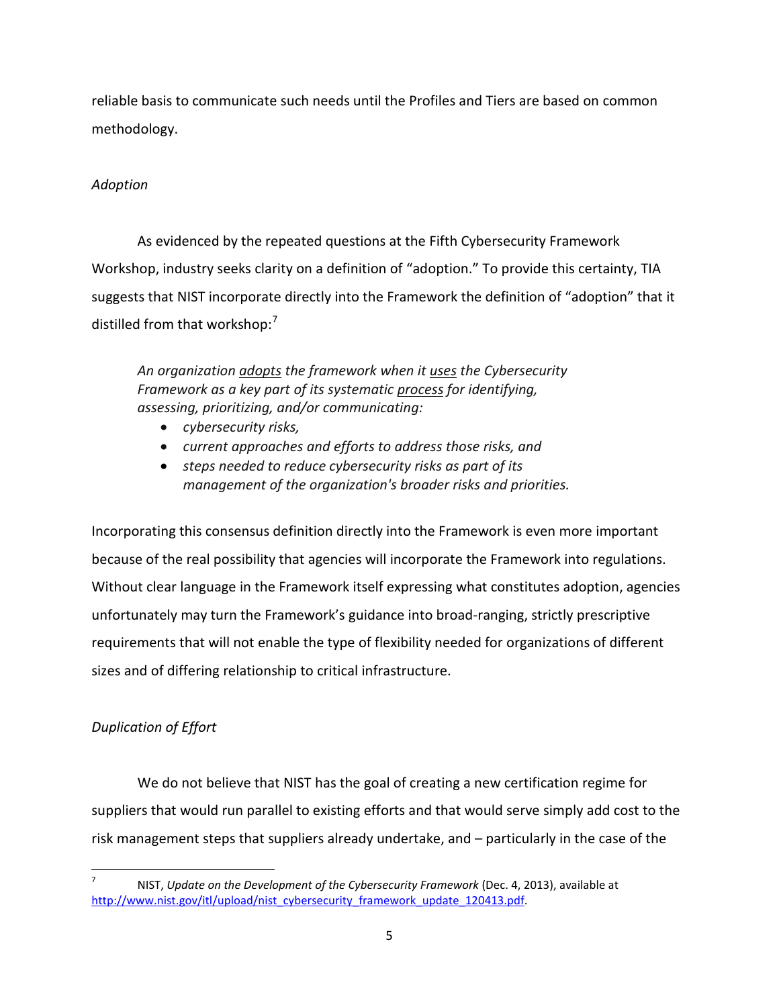reliable basis to communicate such needs until the Profiles and Tiers are based on common methodology.

## *Adoption*

As evidenced by the repeated questions at the Fifth Cybersecurity Framework Workshop, industry seeks clarity on a definition of "adoption." To provide this certainty, TIA suggests that NIST incorporate directly into the Framework the definition of "adoption" that it distilled from that workshop:<sup>[7](#page-4-0)</sup>

*An organization adopts the framework when it uses the Cybersecurity Framework as a key part of its systematic process for identifying, assessing, prioritizing, and/or communicating:* 

- *cybersecurity risks,*
- *current approaches and efforts to address those risks, and*
- *steps needed to reduce cybersecurity risks as part of its management of the organization's broader risks and priorities.*

Incorporating this consensus definition directly into the Framework is even more important because of the real possibility that agencies will incorporate the Framework into regulations. Without clear language in the Framework itself expressing what constitutes adoption, agencies unfortunately may turn the Framework's guidance into broad-ranging, strictly prescriptive requirements that will not enable the type of flexibility needed for organizations of different sizes and of differing relationship to critical infrastructure.

# *Duplication of Effort*

We do not believe that NIST has the goal of creating a new certification regime for suppliers that would run parallel to existing efforts and that would serve simply add cost to the risk management steps that suppliers already undertake, and – particularly in the case of the

<span id="page-4-0"></span> <sup>7</sup> NIST, *Update on the Development of the Cybersecurity Framework* (Dec. 4, 2013), available at http://www.nist.gov/itl/upload/nist\_cybersecurity\_framework\_update\_120413.pdf.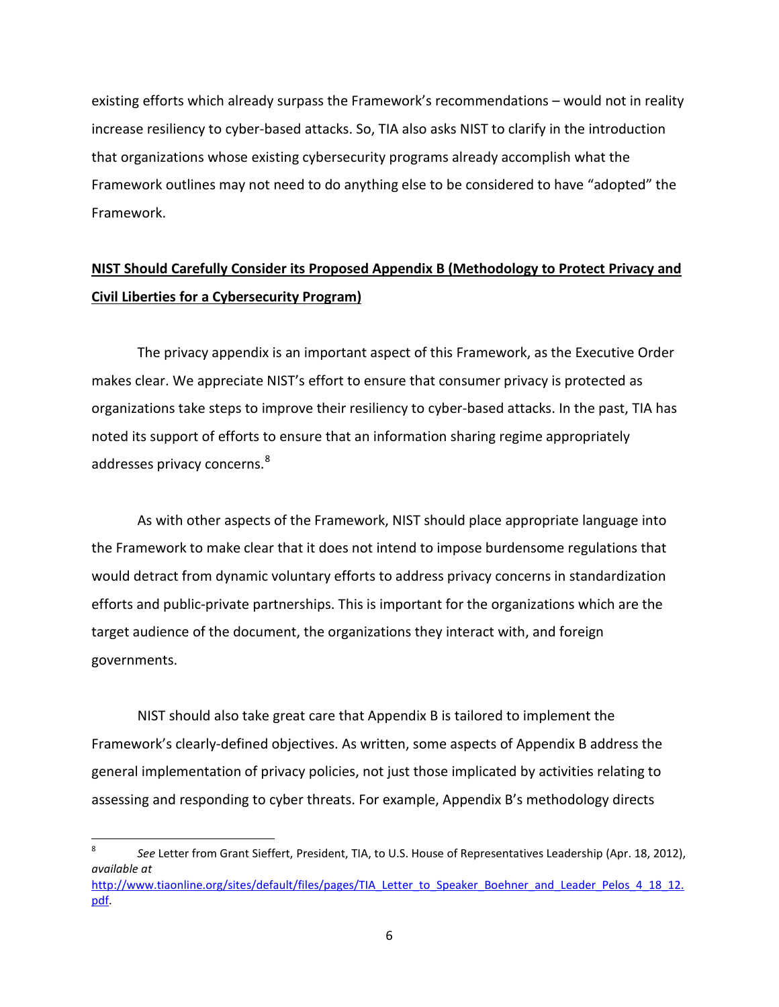existing efforts which already surpass the Framework's recommendations – would not in reality increase resiliency to cyber-based attacks. So, TIA also asks NIST to clarify in the introduction that organizations whose existing cybersecurity programs already accomplish what the Framework outlines may not need to do anything else to be considered to have "adopted" the Framework.

# **NIST Should Carefully Consider its Proposed Appendix B (Methodology to Protect Privacy and Civil Liberties for a Cybersecurity Program)**

The privacy appendix is an important aspect of this Framework, as the Executive Order makes clear. We appreciate NIST's effort to ensure that consumer privacy is protected as organizations take steps to improve their resiliency to cyber-based attacks. In the past, TIA has noted its support of efforts to ensure that an information sharing regime appropriately addresses privacy concerns.<sup>[8](#page-5-0)</sup>

As with other aspects of the Framework, NIST should place appropriate language into the Framework to make clear that it does not intend to impose burdensome regulations that would detract from dynamic voluntary efforts to address privacy concerns in standardization efforts and public-private partnerships. This is important for the organizations which are the target audience of the document, the organizations they interact with, and foreign governments.

NIST should also take great care that Appendix B is tailored to implement the Framework's clearly-defined objectives. As written, some aspects of Appendix B address the general implementation of privacy policies, not just those implicated by activities relating to assessing and responding to cyber threats. For example, Appendix B's methodology directs

<span id="page-5-0"></span> <sup>8</sup> *See* Letter from Grant Sieffert, President, TIA, to U.S. House of Representatives Leadership (Apr. 18, 2012), *available at* [http://www.tiaonline.org/sites/default/files/pages/TIA\\_Letter\\_to\\_Speaker\\_Boehner\\_and\\_Leader\\_Pelos\\_4\\_18\\_12.](http://www.tiaonline.org/sites/default/files/pages/TIA_Letter_to_Speaker_Boehner_and_Leader_Pelos_4_18_12.pdf) [pdf.](http://www.tiaonline.org/sites/default/files/pages/TIA_Letter_to_Speaker_Boehner_and_Leader_Pelos_4_18_12.pdf)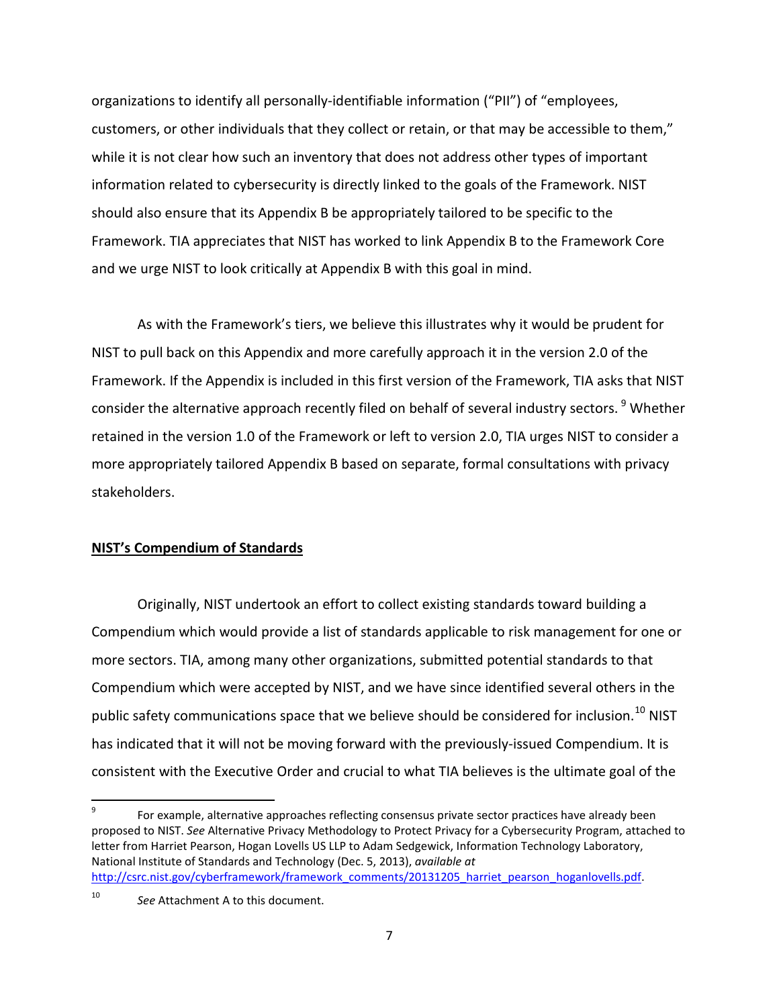organizations to identify all personally-identifiable information ("PII") of "employees, customers, or other individuals that they collect or retain, or that may be accessible to them," while it is not clear how such an inventory that does not address other types of important information related to cybersecurity is directly linked to the goals of the Framework. NIST should also ensure that its Appendix B be appropriately tailored to be specific to the Framework. TIA appreciates that NIST has worked to link Appendix B to the Framework Core and we urge NIST to look critically at Appendix B with this goal in mind.

As with the Framework's tiers, we believe this illustrates why it would be prudent for NIST to pull back on this Appendix and more carefully approach it in the version 2.0 of the Framework. If the Appendix is included in this first version of the Framework, TIA asks that NIST consider the alternative approach recently filed on behalf of several industry sectors.<sup>[9](#page-6-0)</sup> Whether retained in the version 1.0 of the Framework or left to version 2.0, TIA urges NIST to consider a more appropriately tailored Appendix B based on separate, formal consultations with privacy stakeholders.

### **NIST's Compendium of Standards**

Originally, NIST undertook an effort to collect existing standards toward building a Compendium which would provide a list of standards applicable to risk management for one or more sectors. TIA, among many other organizations, submitted potential standards to that Compendium which were accepted by NIST, and we have since identified several others in the public safety communications space that we believe should be considered for inclusion.<sup>[10](#page-6-1)</sup> NIST has indicated that it will not be moving forward with the previously-issued Compendium. It is consistent with the Executive Order and crucial to what TIA believes is the ultimate goal of the

<span id="page-6-0"></span>For example, alternative approaches reflecting consensus private sector practices have already been proposed to NIST. *See* Alternative Privacy Methodology to Protect Privacy for a Cybersecurity Program, attached to letter from Harriet Pearson, Hogan Lovells US LLP to Adam Sedgewick, Information Technology Laboratory, National Institute of Standards and Technology (Dec. 5, 2013), *available at* http://csrc.nist.gov/cyberframework/framework\_comments/20131205\_harriet\_pearson\_hoganlovells.pdf.

<span id="page-6-1"></span><sup>10</sup> *See* Attachment A to this document.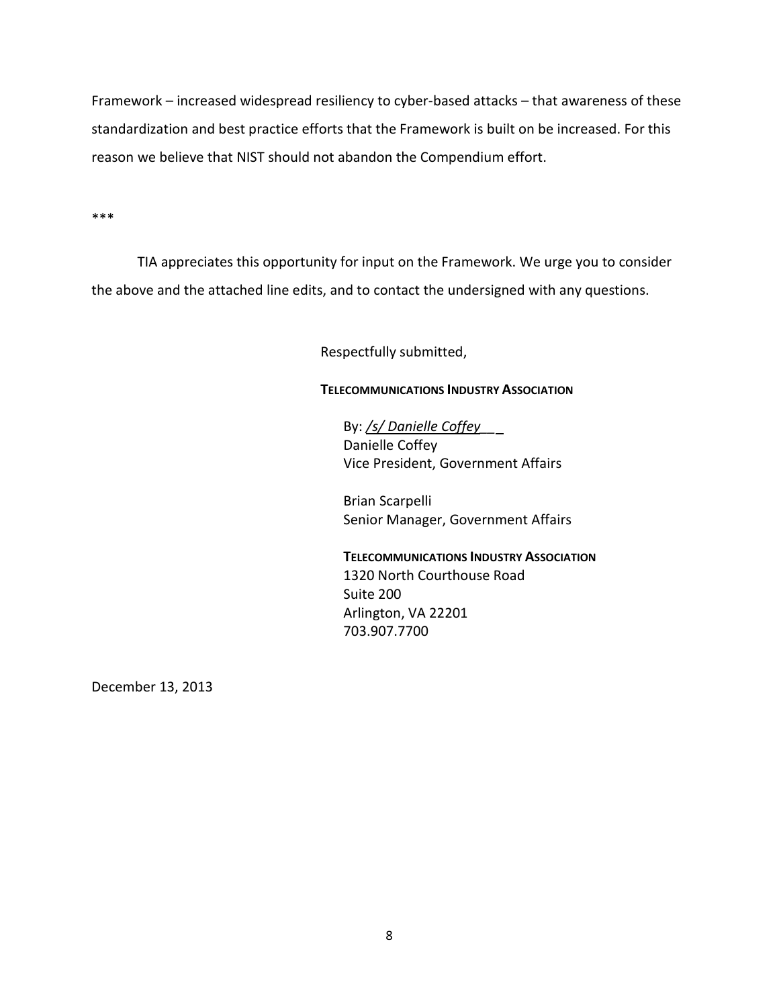Framework – increased widespread resiliency to cyber-based attacks – that awareness of these standardization and best practice efforts that the Framework is built on be increased. For this reason we believe that NIST should not abandon the Compendium effort.

\*\*\*

TIA appreciates this opportunity for input on the Framework. We urge you to consider the above and the attached line edits, and to contact the undersigned with any questions.

Respectfully submitted,

#### **TELECOMMUNICATIONS INDUSTRY ASSOCIATION**

By: */s/ Danielle Coffey\_\_* Danielle Coffey Vice President, Government Affairs

Brian Scarpelli Senior Manager, Government Affairs

**TELECOMMUNICATIONS INDUSTRY ASSOCIATION** 1320 North Courthouse Road Suite 200 Arlington, VA 22201 703.907.7700

December 13, 2013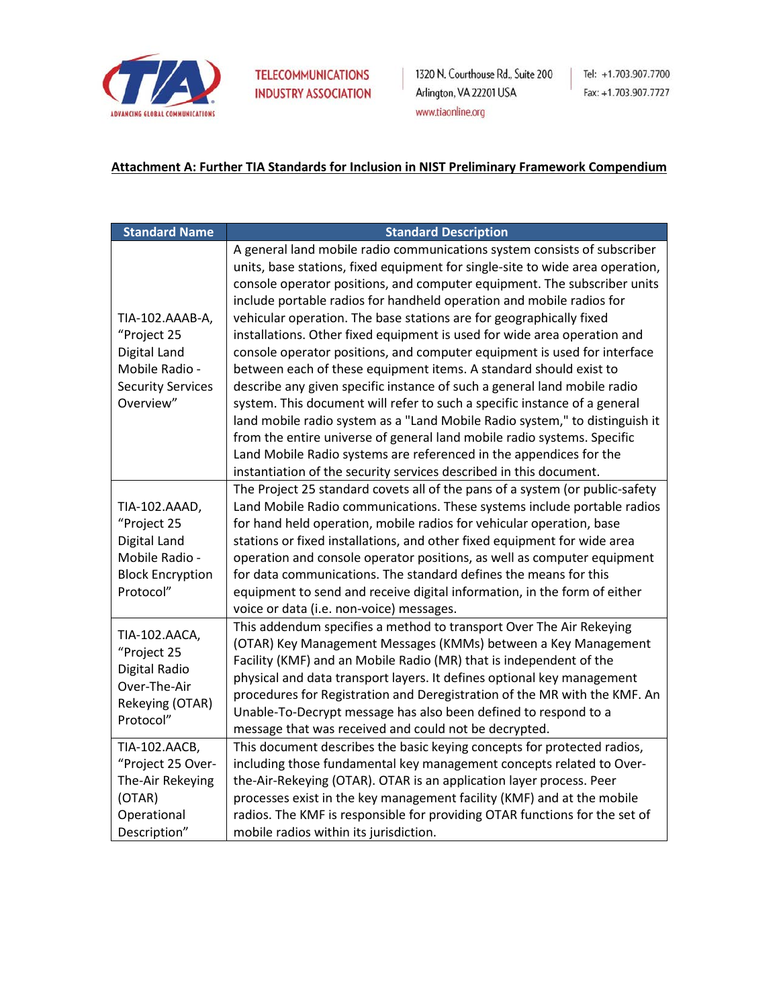

1320 N. Courthouse Rd., Suite 200 Arlington, VA 22201 USA www.tiaonline.org

### **Attachment A: Further TIA Standards for Inclusion in NIST Preliminary Framework Compendium**

| <b>Standard Name</b>                                                                                      | <b>Standard Description</b>                                                                                                                                                                                                                                                                                                                                                                                                                                                                                                                                                                                                                                                                                                                                                                                                                                                                                                                                                                                                                                                      |
|-----------------------------------------------------------------------------------------------------------|----------------------------------------------------------------------------------------------------------------------------------------------------------------------------------------------------------------------------------------------------------------------------------------------------------------------------------------------------------------------------------------------------------------------------------------------------------------------------------------------------------------------------------------------------------------------------------------------------------------------------------------------------------------------------------------------------------------------------------------------------------------------------------------------------------------------------------------------------------------------------------------------------------------------------------------------------------------------------------------------------------------------------------------------------------------------------------|
| TIA-102.AAAB-A,<br>"Project 25<br>Digital Land<br>Mobile Radio -<br><b>Security Services</b><br>Overview" | A general land mobile radio communications system consists of subscriber<br>units, base stations, fixed equipment for single-site to wide area operation,<br>console operator positions, and computer equipment. The subscriber units<br>include portable radios for handheld operation and mobile radios for<br>vehicular operation. The base stations are for geographically fixed<br>installations. Other fixed equipment is used for wide area operation and<br>console operator positions, and computer equipment is used for interface<br>between each of these equipment items. A standard should exist to<br>describe any given specific instance of such a general land mobile radio<br>system. This document will refer to such a specific instance of a general<br>land mobile radio system as a "Land Mobile Radio system," to distinguish it<br>from the entire universe of general land mobile radio systems. Specific<br>Land Mobile Radio systems are referenced in the appendices for the<br>instantiation of the security services described in this document. |
| TIA-102.AAAD,<br>"Project 25<br>Digital Land<br>Mobile Radio -<br><b>Block Encryption</b><br>Protocol"    | The Project 25 standard covets all of the pans of a system (or public-safety<br>Land Mobile Radio communications. These systems include portable radios<br>for hand held operation, mobile radios for vehicular operation, base<br>stations or fixed installations, and other fixed equipment for wide area<br>operation and console operator positions, as well as computer equipment<br>for data communications. The standard defines the means for this<br>equipment to send and receive digital information, in the form of either<br>voice or data (i.e. non-voice) messages.                                                                                                                                                                                                                                                                                                                                                                                                                                                                                               |
| TIA-102.AACA,<br>"Project 25<br>Digital Radio<br>Over-The-Air<br>Rekeying (OTAR)<br>Protocol"             | This addendum specifies a method to transport Over The Air Rekeying<br>(OTAR) Key Management Messages (KMMs) between a Key Management<br>Facility (KMF) and an Mobile Radio (MR) that is independent of the<br>physical and data transport layers. It defines optional key management<br>procedures for Registration and Deregistration of the MR with the KMF. An<br>Unable-To-Decrypt message has also been defined to respond to a<br>message that was received and could not be decrypted.                                                                                                                                                                                                                                                                                                                                                                                                                                                                                                                                                                                   |
| TIA-102.AACB,<br>"Project 25 Over-<br>The-Air Rekeying<br>(OTAR)<br>Operational<br>Description"           | This document describes the basic keying concepts for protected radios,<br>including those fundamental key management concepts related to Over-<br>the-Air-Rekeying (OTAR). OTAR is an application layer process. Peer<br>processes exist in the key management facility (KMF) and at the mobile<br>radios. The KMF is responsible for providing OTAR functions for the set of<br>mobile radios within its jurisdiction.                                                                                                                                                                                                                                                                                                                                                                                                                                                                                                                                                                                                                                                         |